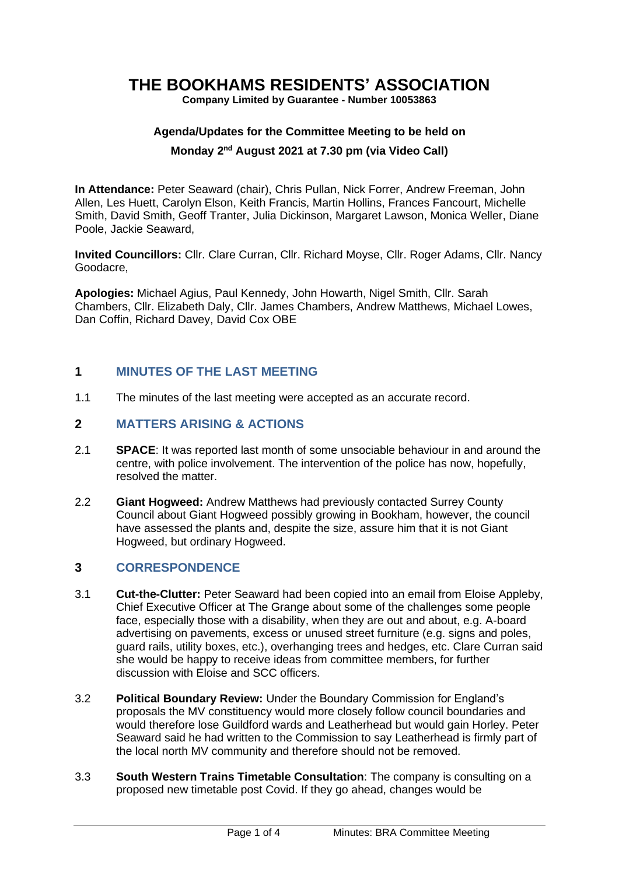# **THE BOOKHAMS RESIDENTS' ASSOCIATION**

**Company Limited by Guarantee - Number 10053863**

## **Agenda/Updates for the Committee Meeting to be held on**

#### **Monday 2 nd August 2021 at 7.30 pm (via Video Call)**

**In Attendance:** Peter Seaward (chair), Chris Pullan, Nick Forrer, Andrew Freeman, John Allen, Les Huett, Carolyn Elson, Keith Francis, Martin Hollins, Frances Fancourt, Michelle Smith, David Smith, Geoff Tranter, Julia Dickinson, Margaret Lawson, Monica Weller, Diane Poole, Jackie Seaward,

**Invited Councillors:** Cllr. Clare Curran, Cllr. Richard Moyse, Cllr. Roger Adams, Cllr. Nancy Goodacre,

**Apologies:** Michael Agius, Paul Kennedy, John Howarth, Nigel Smith, Cllr. Sarah Chambers, Cllr. Elizabeth Daly, Cllr. James Chambers, Andrew Matthews, Michael Lowes, Dan Coffin, Richard Davey, David Cox OBE

## **1 MINUTES OF THE LAST MEETING**

1.1 The minutes of the last meeting were accepted as an accurate record.

#### **2 MATTERS ARISING & ACTIONS**

- 2.1 **SPACE**: It was reported last month of some unsociable behaviour in and around the centre, with police involvement. The intervention of the police has now, hopefully, resolved the matter.
- 2.2 **Giant Hogweed:** Andrew Matthews had previously contacted Surrey County Council about Giant Hogweed possibly growing in Bookham, however, the council have assessed the plants and, despite the size, assure him that it is not Giant Hogweed, but ordinary Hogweed.

## **3 CORRESPONDENCE**

- 3.1 **Cut-the-Clutter:** Peter Seaward had been copied into an email from Eloise Appleby, Chief Executive Officer at The Grange about some of the challenges some people face, especially those with a disability, when they are out and about, e.g. A-board advertising on pavements, excess or unused street furniture (e.g. signs and poles, guard rails, utility boxes, etc.), overhanging trees and hedges, etc. Clare Curran said she would be happy to receive ideas from committee members, for further discussion with Eloise and SCC officers.
- 3.2 **Political Boundary Review:** Under the Boundary Commission for England's proposals the MV constituency would more closely follow council boundaries and would therefore lose Guildford wards and Leatherhead but would gain Horley. Peter Seaward said he had written to the Commission to say Leatherhead is firmly part of the local north MV community and therefore should not be removed.
- 3.3 **South Western Trains Timetable Consultation**: The company is consulting on a proposed new timetable post Covid. If they go ahead, changes would be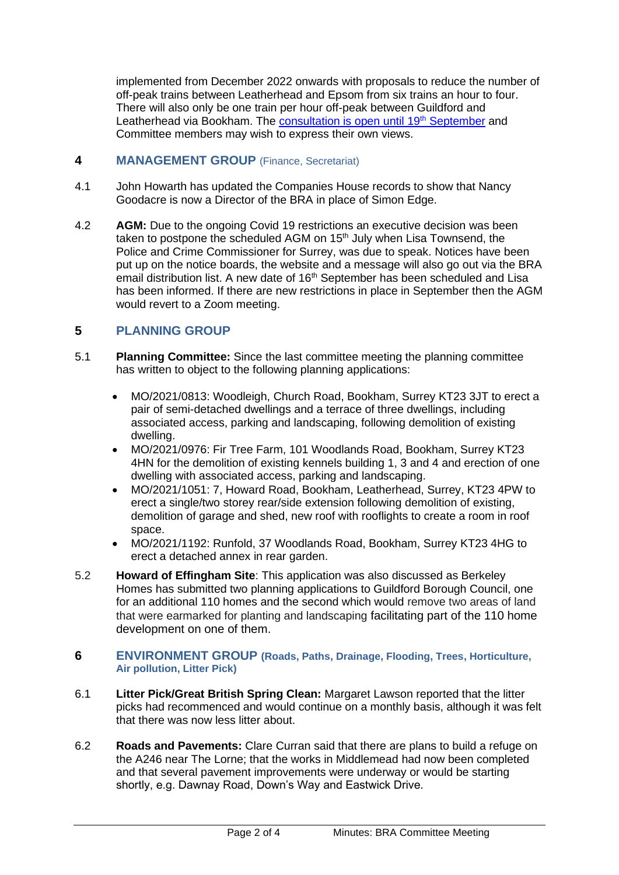implemented from December 2022 onwards with proposals to reduce the number of off-peak trains between Leatherhead and Epsom from six trains an hour to four. There will also only be one train per hour off-peak between Guildford and Leatherhead via Bookham. The [consultation is open until 19](https://www.southwesternrailway.com/plan-my-journey/timetables/timetable-consultation-december-2022)<sup>th</sup> September and Committee members may wish to express their own views.

#### **4 MANAGEMENT GROUP** (Finance, Secretariat)

- 4.1 John Howarth has updated the Companies House records to show that Nancy Goodacre is now a Director of the BRA in place of Simon Edge.
- 4.2 **AGM:** Due to the ongoing Covid 19 restrictions an executive decision was been taken to postpone the scheduled AGM on 15<sup>th</sup> July when Lisa Townsend, the Police and Crime Commissioner for Surrey, was due to speak. Notices have been put up on the notice boards, the website and a message will also go out via the BRA email distribution list. A new date of 16<sup>th</sup> September has been scheduled and Lisa has been informed. If there are new restrictions in place in September then the AGM would revert to a Zoom meeting.

## **5 PLANNING GROUP**

- 5.1 **Planning Committee:** Since the last committee meeting the planning committee has written to object to the following planning applications:
	- MO/2021/0813: Woodleigh, Church Road, Bookham, Surrey KT23 3JT to erect a pair of semi-detached dwellings and a terrace of three dwellings, including associated access, parking and landscaping, following demolition of existing dwelling.
	- MO/2021/0976: Fir Tree Farm, 101 Woodlands Road, Bookham, Surrey KT23 4HN for the demolition of existing kennels building 1, 3 and 4 and erection of one dwelling with associated access, parking and landscaping.
	- MO/2021/1051: 7, Howard Road, Bookham, Leatherhead, Surrey, KT23 4PW to erect a single/two storey rear/side extension following demolition of existing, demolition of garage and shed, new roof with rooflights to create a room in roof space.
	- MO/2021/1192: Runfold, 37 Woodlands Road, Bookham, Surrey KT23 4HG to erect a detached annex in rear garden.
- 5.2 **Howard of Effingham Site**: This application was also discussed as Berkeley Homes has submitted two planning applications to Guildford Borough Council, one for an additional 110 homes and the second which would remove two areas of land that were earmarked for planting and landscaping facilitating part of the 110 home development on one of them.

#### **6 ENVIRONMENT GROUP (Roads, Paths, Drainage, Flooding, Trees, Horticulture, Air pollution, Litter Pick)**

- 6.1 **Litter Pick/Great British Spring Clean:** Margaret Lawson reported that the litter picks had recommenced and would continue on a monthly basis, although it was felt that there was now less litter about.
- 6.2 **Roads and Pavements:** Clare Curran said that there are plans to build a refuge on the A246 near The Lorne; that the works in Middlemead had now been completed and that several pavement improvements were underway or would be starting shortly, e.g. Dawnay Road, Down's Way and Eastwick Drive.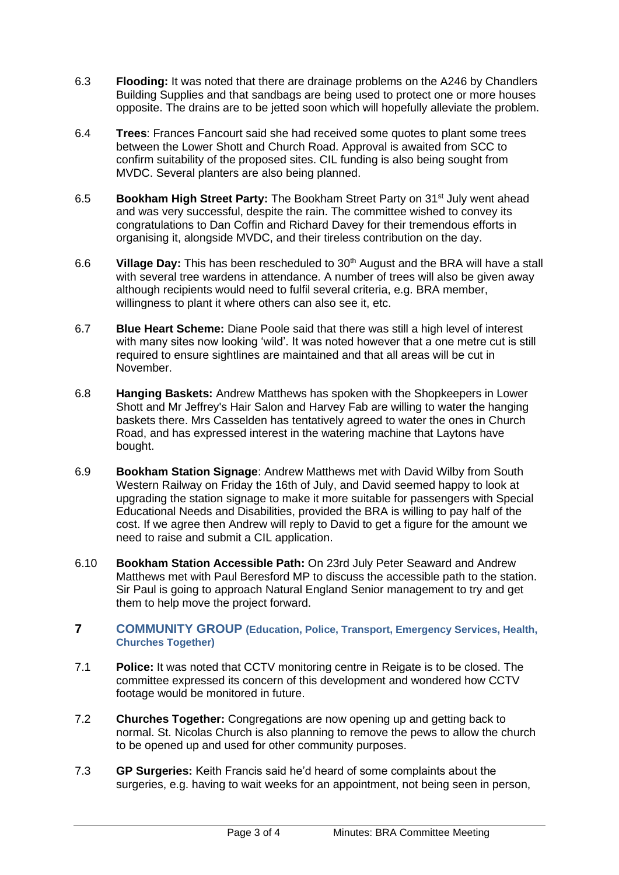- 6.3 **Flooding:** It was noted that there are drainage problems on the A246 by Chandlers Building Supplies and that sandbags are being used to protect one or more houses opposite. The drains are to be jetted soon which will hopefully alleviate the problem.
- 6.4 **Trees**: Frances Fancourt said she had received some quotes to plant some trees between the Lower Shott and Church Road. Approval is awaited from SCC to confirm suitability of the proposed sites. CIL funding is also being sought from MVDC. Several planters are also being planned.
- 6.5 **Bookham High Street Party:** The Bookham Street Party on 31st July went ahead and was very successful, despite the rain. The committee wished to convey its congratulations to Dan Coffin and Richard Davey for their tremendous efforts in organising it, alongside MVDC, and their tireless contribution on the day.
- 6.6 **Village Day:** This has been rescheduled to 30 th August and the BRA will have a stall with several tree wardens in attendance. A number of trees will also be given away although recipients would need to fulfil several criteria, e.g. BRA member, willingness to plant it where others can also see it, etc.
- 6.7 **Blue Heart Scheme:** Diane Poole said that there was still a high level of interest with many sites now looking 'wild'. It was noted however that a one metre cut is still required to ensure sightlines are maintained and that all areas will be cut in November.
- 6.8 **Hanging Baskets:** Andrew Matthews has spoken with the Shopkeepers in Lower Shott and Mr Jeffrey's Hair Salon and Harvey Fab are willing to water the hanging baskets there. Mrs Casselden has tentatively agreed to water the ones in Church Road, and has expressed interest in the watering machine that Laytons have bought.
- 6.9 **Bookham Station Signage**: Andrew Matthews met with David Wilby from South Western Railway on Friday the 16th of July, and David seemed happy to look at upgrading the station signage to make it more suitable for passengers with Special Educational Needs and Disabilities, provided the BRA is willing to pay half of the cost. If we agree then Andrew will reply to David to get a figure for the amount we need to raise and submit a CIL application.
- 6.10 **Bookham Station Accessible Path:** On 23rd July Peter Seaward and Andrew Matthews met with Paul Beresford MP to discuss the accessible path to the station. Sir Paul is going to approach Natural England Senior management to try and get them to help move the project forward.

#### **7 COMMUNITY GROUP (Education, Police, Transport, Emergency Services, Health, Churches Together)**

- 7.1 **Police:** It was noted that CCTV monitoring centre in Reigate is to be closed. The committee expressed its concern of this development and wondered how CCTV footage would be monitored in future.
- 7.2 **Churches Together:** Congregations are now opening up and getting back to normal. St. Nicolas Church is also planning to remove the pews to allow the church to be opened up and used for other community purposes.
- 7.3 **GP Surgeries:** Keith Francis said he'd heard of some complaints about the surgeries, e.g. having to wait weeks for an appointment, not being seen in person,